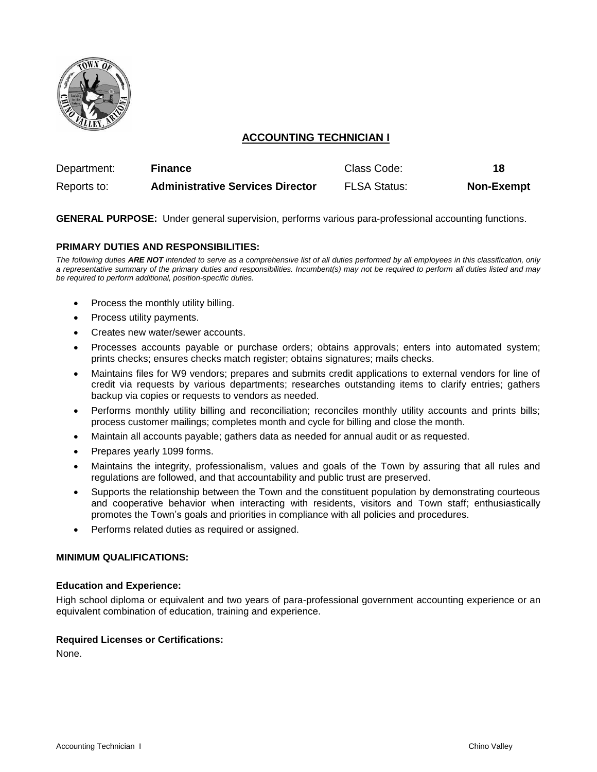

# **ACCOUNTING TECHNICIAN I**

| Department: | <b>Finance</b>                          | Class Code:         | 18                |
|-------------|-----------------------------------------|---------------------|-------------------|
| Reports to: | <b>Administrative Services Director</b> | <b>FLSA Status:</b> | <b>Non-Exempt</b> |

**GENERAL PURPOSE:** Under general supervision, performs various para-professional accounting functions.

# **PRIMARY DUTIES AND RESPONSIBILITIES:**

*The following duties ARE NOT intended to serve as a comprehensive list of all duties performed by all employees in this classification, only a representative summary of the primary duties and responsibilities. Incumbent(s) may not be required to perform all duties listed and may be required to perform additional, position-specific duties.*

- Process the monthly utility billing.
- Process utility payments.
- Creates new water/sewer accounts.
- Processes accounts payable or purchase orders; obtains approvals; enters into automated system; prints checks; ensures checks match register; obtains signatures; mails checks.
- Maintains files for W9 vendors; prepares and submits credit applications to external vendors for line of credit via requests by various departments; researches outstanding items to clarify entries; gathers backup via copies or requests to vendors as needed.
- Performs monthly utility billing and reconciliation; reconciles monthly utility accounts and prints bills; process customer mailings; completes month and cycle for billing and close the month.
- Maintain all accounts payable; gathers data as needed for annual audit or as requested.
- Prepares yearly 1099 forms.
- Maintains the integrity, professionalism, values and goals of the Town by assuring that all rules and regulations are followed, and that accountability and public trust are preserved.
- Supports the relationship between the Town and the constituent population by demonstrating courteous and cooperative behavior when interacting with residents, visitors and Town staff; enthusiastically promotes the Town's goals and priorities in compliance with all policies and procedures.
- Performs related duties as required or assigned.

# **MINIMUM QUALIFICATIONS:**

#### **Education and Experience:**

High school diploma or equivalent and two years of para-professional government accounting experience or an equivalent combination of education, training and experience.

#### **Required Licenses or Certifications:**

None.